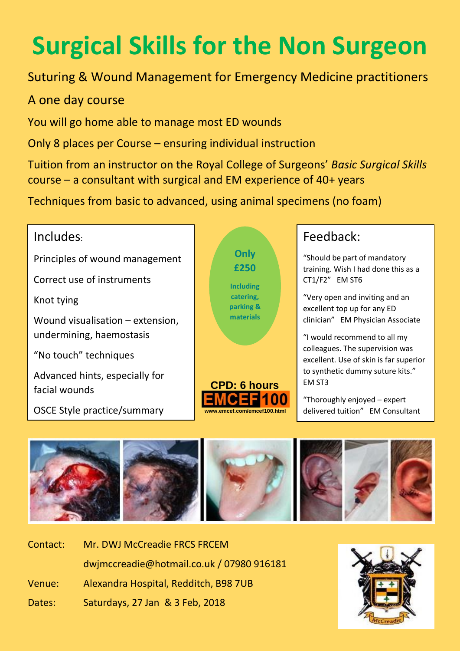# **Surgical Skills for the Non Surgeon**

# Suturing & Wound Management for Emergency Medicine practitioners

## A one day course

You will go home able to manage most ED wounds

Only 8 places per Course – ensuring individual instruction

Tuition from an instructor on the Royal College of Surgeons' *Basic Surgical Skills* course – a consultant with surgical and EM experience of 40+ years

Techniques from basic to advanced, using animal specimens (no foam)

# Includes:

Principles of wound management

Correct use of instruments

Knot tying

Wound visualisation – extension, undermining, haemostasis

"No touch" techniques

Advanced hints, especially for facial wounds

OSCE Style practice/summary



# Feedback:

"Should be part of mandatory training. Wish I had done this as a CT1/F2" EM ST6

"Very open and inviting and an excellent top up for any ED clinician" EM Physician Associate

"I would recommend to all my colleagues. The supervision was excellent. Use of skin is far superior to synthetic dummy suture kits." EM ST3

"Thoroughly enjoyed – expert delivered tuition" EM Consultant



| Contact: | Mr. DWJ McCreadie FRCS FRCEM              |
|----------|-------------------------------------------|
|          | dwjmccreadie@hotmail.co.uk / 07980 916181 |
| Venue:   | Alexandra Hospital, Redditch, B98 7UB     |
| Dates:   | Saturdays, 27 Jan & 3 Feb, 2018           |

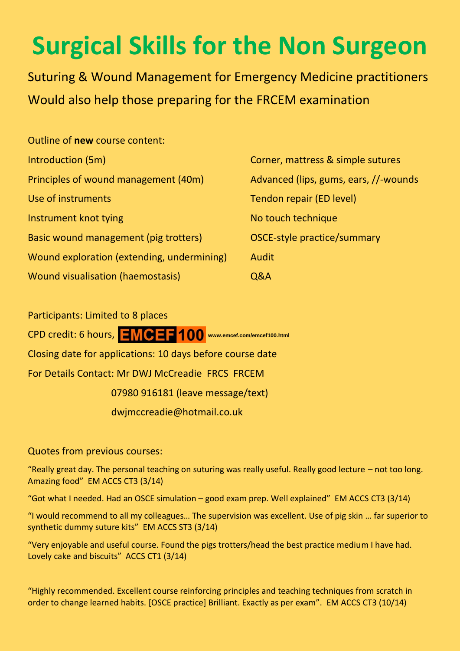# **Surgical Skills for the Non Surgeon**

Suturing & Wound Management for Emergency Medicine practitioners Would also help those preparing for the FRCEM examination

| Outline of new course content:             |             |
|--------------------------------------------|-------------|
| Introduction (5m)                          | Corne       |
| Principles of wound management (40m)       | Advar       |
| Use of instruments                         | Tend        |
| Instrument knot tying                      | No to       |
| Basic wound management (pig trotters)      | <b>OSCE</b> |
| Wound exploration (extending, undermining) | Audit       |
| Wound visualisation (haemostasis)          | 0&A         |

orner, mattress & simple sutures dvanced (lips, gums, ears, //-wounds endon repair (ED level) o touch technique SCE-style practice/summary

Participants: Limited to 8 places CPD credit: 6 hours,  $\boxed{=} \sqrt{\mathbf{C}}$   $\boxed{=}$  100 www.emcef.com/emcef100.html Closing date for applications: 10 days before course date For Details Contact: Mr DWJ McCreadie FRCS FRCEM 07980 916181 (leave message/text) dwjmccreadie@hotmail.co.uk

## Quotes from previous courses:

"Really great day. The personal teaching on suturing was really useful. Really good lecture – not too long. Amazing food" EM ACCS CT3 (3/14)

"Got what I needed. Had an OSCE simulation – good exam prep. Well explained" EM ACCS CT3 (3/14)

"I would recommend to all my colleagues… The supervision was excellent. Use of pig skin … far superior to synthetic dummy suture kits" EM ACCS ST3 (3/14)

"Very enjoyable and useful course. Found the pigs trotters/head the best practice medium I have had. Lovely cake and biscuits" ACCS CT1 (3/14)

"Highly recommended. Excellent course reinforcing principles and teaching techniques from scratch in order to change learned habits. [OSCE practice] Brilliant. Exactly as per exam". EM ACCS CT3 (10/14)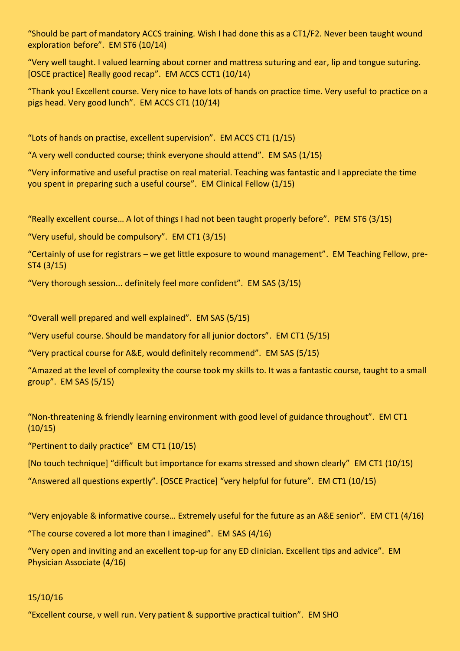"Should be part of mandatory ACCS training. Wish I had done this as a CT1/F2. Never been taught wound exploration before". EM ST6 (10/14)

"Very well taught. I valued learning about corner and mattress suturing and ear, lip and tongue suturing. [OSCE practice] Really good recap". EM ACCS CCT1 (10/14)

"Thank you! Excellent course. Very nice to have lots of hands on practice time. Very useful to practice on a pigs head. Very good lunch". EM ACCS CT1 (10/14)

"Lots of hands on practise, excellent supervision". EM ACCS CT1 (1/15)

"A very well conducted course; think everyone should attend". EM SAS (1/15)

"Very informative and useful practise on real material. Teaching was fantastic and I appreciate the time you spent in preparing such a useful course". EM Clinical Fellow (1/15)

"Really excellent course… A lot of things I had not been taught properly before". PEM ST6 (3/15)

"Very useful, should be compulsory". EM CT1 (3/15)

"Certainly of use for registrars – we get little exposure to wound management". EM Teaching Fellow, pre-ST4 (3/15)

"Very thorough session... definitely feel more confident". EM SAS (3/15)

"Overall well prepared and well explained". EM SAS (5/15)

"Very useful course. Should be mandatory for all junior doctors". EM CT1 (5/15)

"Very practical course for A&E, would definitely recommend". EM SAS (5/15)

"Amazed at the level of complexity the course took my skills to. It was a fantastic course, taught to a small group". EM SAS (5/15)

"Non-threatening & friendly learning environment with good level of guidance throughout". EM CT1  $(10/15)$ 

"Pertinent to daily practice" EM CT1 (10/15)

[No touch technique] "difficult but importance for exams stressed and shown clearly" EM CT1 (10/15)

"Answered all questions expertly". [OSCE Practice] "very helpful for future". EM CT1 (10/15)

"Very enjoyable & informative course… Extremely useful for the future as an A&E senior". EM CT1 (4/16)

"The course covered a lot more than I imagined". EM SAS (4/16)

"Very open and inviting and an excellent top-up for any ED clinician. Excellent tips and advice". EM Physician Associate (4/16)

### 15/10/16

"Excellent course, v well run. Very patient & supportive practical tuition". EM SHO